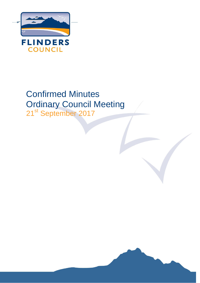

# Confirmed Minutes Ordinary Council Meeting

21<sup>st</sup> September 2017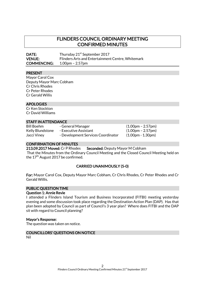# FLINDERS COUNCIL ORDINARY MEETING CONFIRMED MINUTES

DATE: Thursday 21<sup>st</sup> September 2017 VENUE: Flinders Arts and Entertainment Centre, Whitemark COMMENCING: 1.00pm – 2.57pm

#### PRESENT

Mayor Carol Cox Deputy Mayor Marc Cobham Cr Chris Rhodes Cr Peter Rhodes Cr Gerald Willis

#### APOLOGIES

Cr Ken Stockton Cr David Williams

# STAFF IN ATTENDANCE

Bill Boehm - General Manager (1.00pm – 2.57pm)

Jacci Viney - Development Services Coordinator (1.00pm - 1.30pm)

Kelly Blundstone - Executive Assistant (1.00pm – 2.57pm)

#### CONFIRMATION OF MINUTES

213.09.2017 Moved: Cr P Rhodes Seconded: Deputy Mayor M Cobham That the Minutes from the Ordinary Council Meeting and the Closed Council Meeting held on the 17<sup>th</sup> August 2017 be confirmed.

#### CARRIED UNANIMOUSLY (5-0)

For: Mayor Carol Cox, Deputy Mayor Marc Cobham, Cr Chris Rhodes, Cr Peter Rhodes and Cr Gerald Willis.

#### PUBLIC QUESTION TIME

#### Question 1: Annie Revie

I attended a Flinders Island Tourism and Business Incorporated (FITBI) meeting yesterday evening and some discussion took place regarding the Destination Action Plan (DAP). Has that plan been adopted by Council as part of Council's 3 year plan? Where does FITBI and the DAP sit with regard to Council planning?

#### Mayor's Response:

The question was taken on notice.

# COUNCILLORS' QUESTIONS ON NOTICE

Nil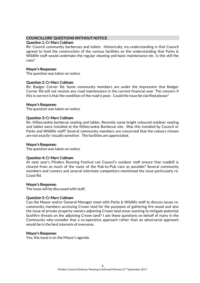#### COUNCILLORS' QUESTIONS WITHOUT NOTICE

#### Question 1: Cr Marc Cobham

Re: Council community barbecues and toilets. Historically, my understanding is that Council agreed to fund the construction of the various facilities on the understanding that Parks & Wildlife staff would undertake the regular cleaning and basic maintenance etc. Is this still the case?

#### Mayor's Response:

The question was taken on notice.

#### Question 2: Cr Marc Cobham

Re: Badger Corner Rd. Some community members are under the impression that Badger Corner Rd will not receive any road maintenance in the current financial year. The concern if this is correct is that the condition of the road is poor. Could the issue be clarified please?

#### Mayor's Response:

The question was taken on notice.

#### Question 3: Cr Marc Cobham

Re: Killiecrankie barbecue seating and tables. Recently some bright coloured outdoor seating and tables were installed at the Killiecrankie Barbecue site. Was this installed by Council or Parks and Wildlife staff? Several community members are concerned that the colours chosen are not exactly 'visually sensitive'. The facilities are appreciated.

#### Mayor's Response:

The question was taken on notice.

#### Question 4: Cr Marc Cobham

At next year's Flinders Running Festival can Council's outdoor staff ensure that roadkill is cleared from as much of the route of the Pub-to-Pub race as possible? Several community members and runners and several interstate competitors mentioned the issue particularly re: Coast Rd.

#### Mayor's Response:

The issue will be discussed with staff.

#### Question 5: Cr Marc Cobham

Can the Mayor and/or General Manager meet with Parks & Wildlife staff to discuss issues re: community members accessing Crown land for the purposes of gathering fire wood and also the issue of private property owners adjoining Crown land areas wanting to mitigate potential bushfire threats on the adjoining Crown land? I ask these questions on behalf of many in the Community who consider that a co-operative approach rather than an adversarial approach would be in the best interests of everyone.

#### Mayor's Response:

Yes, this issue is on the Mayor's agenda.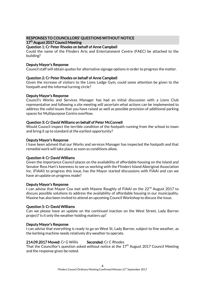# RESPONSES TO COUNCILLORS' QUESTIONS WITHOUT NOTICE 17<sup>th</sup> August 2017 Council Meeting

# Question 1: Cr Peter Rhodes on behalf of Anne Campbell

Could the name of the Flinders Arts and Entertainment Centre (FAEC) be attached to the building?

# Deputy Mayor's Response

Council staff will obtain quotes for alternative signage options in order to progress the matter.

# Question 2: Cr Peter Rhodes on behalf of Anne Campbell

Given the increase of visitors to the Lions Lodge Gym, could some attention be given to the footpath and the informal turning circle?

#### Deputy Mayor's Response

Council's Works and Services Manager has had an initial discussion with a Lions Club representative and following a site meeting will ascertain what actions can be implemented to address the valid issues that you have raised as well as possible provision of additional parking spaces for Multipurpose Centre overflow.

# Question 3: Cr David Williams on behalf of Peter McConnell

Would Council inspect the terrible condition of the footpath running from the school to town and bring it up to standard at the earliest opportunity?

#### Deputy Mayor's Response

I have been advised that our Works and services Manager has inspected the footpath and that remedial work will take place as soon as conditions allow.

#### Question 4: Cr David Williams

Given the importance Council places on the availability of affordable housing on the Island and Senator Ross Hart's keenness to see us working with the Flinders Island Aboriginal Association Inc. (FIAAI) to progress this issue, has the Mayor started discussions with FIAAI and can we have an update on progress made?

#### Deputy Mayor's Response

I can advise that Mayor Cox met with Maxine Roughly of FIAAI on the 22<sup>nd</sup> August 2017 to discuss possible solutions to address the availability of affordable housing in our municipality. Maxine has also been invited to attend an upcoming Council Workshop to discuss the issue.

#### Question 5: Cr David Williams

Can we please have an update on the continued inaction on the West Street, Lady Barron project? Is it only the weather holding matters up?

#### Deputy Mayor's Response

I can advise that everything is ready to go on West St, Lady Barron, subject to fine weather, as the kerbing machine needs relatively dry weather to operate.

# 214.09.2017 Moved: Cr G Willis Seconded: Cr C Rhodes

That the Councillor's question asked without notice at the  $17<sup>th</sup>$  August 2017 Council Meeting and the response given be noted.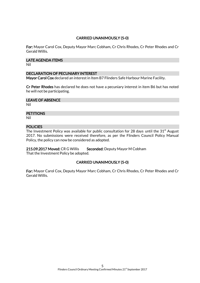# CARRIED UNANIMOUSLY (5-0)

For: Mayor Carol Cox, Deputy Mayor Marc Cobham, Cr Chris Rhodes, Cr Peter Rhodes and Cr Gerald Willis.

#### LATE AGENDA ITEMS

Nil

#### DECLARATION OF PECUNIARY INTEREST

Mayor Carol Cox declared an interest in Item B7 Flinders Safe Harbour Marine Facility.

Cr Peter Rhodes has declared he does not have a pecuniary interest in item B6 but has noted he will not be participating.

LEAVE OF ABSENCE

Nil

#### **PETITIONS**

Nil

# **POLICIES**

The Investment Policy was available for public consultation for 28 days until the  $31<sup>st</sup>$  August 2017. No submissions were received therefore, as per the Flinders Council Policy Manual Policy, the policy can now be considered as adopted.

215.09.2017 Moved: CR G Willis Seconded: Deputy Mayor M Cobham That the Investment Policy be adopted.

# CARRIED UNANIMOUSLY (5-0)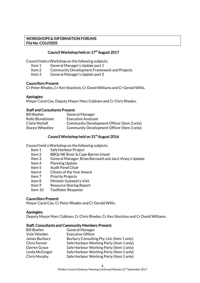# WORKSHOPS & INFORMATION FORUMS File No: COU/0205

# Council Workshop held on 17<sup>th</sup> August 2017

Council held a Workshop on the following subjects:

- Item 1 General Manager's Update part 1
- Item 2 Community Development Framework and Projects
- Item 3 General Manager's Update part 2

#### Councillors Present:

Cr Peter Rhodes, Cr Ken Stockton, Cr David Williams and Cr Gerald Willis.

#### Apologies:

Mayor Carol Cox, Deputy Mayor Marc Cobham and Cr Chris Rhodes.

#### Staff and Consultants Present:

| <b>Bill Boehm</b>       | <b>General Manager</b>                      |
|-------------------------|---------------------------------------------|
| <b>Kelly Blundstone</b> | Executive Assistant                         |
| Claire Nicholl          | Community Development Officer (Item 2 only) |
| <b>Stacey Wheatley</b>  | Community Development Officer (Item 2 only) |

# Council Workshop held on 31<sup>st</sup> August 2016

Council held a Workshop on the following subjects:

- Item 1 Safe Harbour Project
- Item 2 BBQs NE River & Cape Barren Island
- Item 3 General Manager, Brian Barnwell and Jacci Viney's Update
- Item 4 Planning Update
- Item 5 Audit Panel Chair
- Item 6 Citizen of the Year Award
- Item 7 Priority Projects
- Item 8 Minister Gutwein's Visit
- Item 9 Resource Sharing Report
- Item 10 TasWater Response

#### Councillors Present:

Mayor Carol Cox, Cr Peter Rhodes and Cr Gerald Willis.

#### Apologies:

Deputy Mayor Marc Cobham, Cr Chris Rhodes, Cr Ken Stockton and Cr David Williams.

#### Staff, Consultants and Community Members Present:

| <b>Bill Boehm</b>   | <b>General Manager</b>                     |
|---------------------|--------------------------------------------|
| Vicki Warden        | <b>Executive Officer</b>                   |
| James Burbury       | Burbury Consulting Pty. Ltd. (Item 1 only) |
| <b>Chris Fenner</b> | Safe Harbour Working Party (Item 1 only)   |
| Darren Grace        | Safe Harbour Working Party (Item 1 only)   |
| Linda McGregor      | Safe Harbour Working Party (Item 1 only)   |
| Chris Murphy        | Safe Harbour Working Party (Item 1 only)   |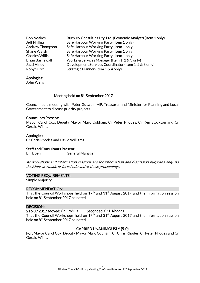| <b>Bob Noakes</b>     | Burbury Consulting Pty. Ltd. (Economic Analyst) (Item 1 only) |
|-----------------------|---------------------------------------------------------------|
| <b>Jeff Phillips</b>  | Safe Harbour Working Party (Item 1 only)                      |
| Andrew Thompson       | Safe Harbour Working Party (Item 1 only)                      |
| Shane Walsh           | Safe Harbour Working Party (Item 1 only)                      |
| <b>Charles Willis</b> | Safe Harbour Working Party (Item 1 only)                      |
| Brian Barnewall       | Works & Services Manager (Item 1, 2 & 3 only)                 |
| Jacci Viney           | Development Services Coordinator (Item 1, 2 & 3 only)         |
| Robyn Cox             | Strategic Planner (Item 1 & 4 only)                           |
|                       |                                                               |

#### Apologies:

John Wells

#### Meeting held on 8<sup>th</sup> September 2017

Council had a meeting with Peter Gutwein MP, Treasurer and Minister for Planning and Local Government to discuss priority projects.

#### Councillors Present:

Mayor Carol Cox, Deputy Mayor Marc Cobham, Cr Peter Rhodes, Cr Ken Stockton and Cr Gerald Willis.

#### Apologies:

Cr Chris Rhodes and David Williams.

#### Staff and Consultants Present:

Bill Boehm General Manager

As workshops and information sessions are for information and discussion purposes only, no decisions are made or foreshadowed at these proceedings.

#### VOTING REQUIREMENTS:

Simple Majority

#### RECOMMENDATION:

That the Council Workshops held on  $17<sup>th</sup>$  and  $31<sup>st</sup>$  August 2017 and the information session held on 8<sup>th</sup> September 2017 be noted.

#### DECISION:

216.09.2017 Moved: Cr G Willis Seconded: Cr P Rhodes

That the Council Workshops held on  $17<sup>th</sup>$  and  $31<sup>st</sup>$  August 2017 and the information session held on 8<sup>th</sup> September 2017 be noted.

# CARRIED UNANIMOUSLY (5-0)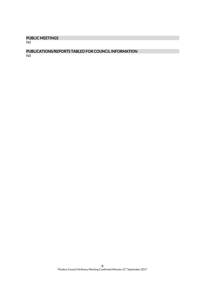# PUBLIC MEETINGS

Nil

# PUBLICATIONS/REPORTS TABLED FOR COUNCIL INFORMATION

Nil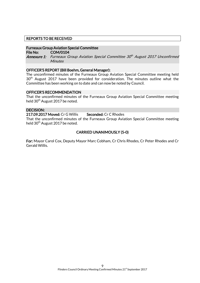#### REPORTS TO BE RECEIVED

#### Furneaux Group Aviation Special Committee

File No: COM/0104 **Annexure 1:** Furneaux Group Aviation Special Committee 30th August 2017 Unconfirmed **Minutes** 

#### OFFICER'S REPORT (Bill Boehm, General Manager):

The unconfirmed minutes of the Furneaux Group Aviation Special Committee meeting held 30<sup>th</sup> August 2017 have been provided for consideration. The minutes outline what the Committee has been working on to date and can now be noted by Council.

#### OFFICER'S RECOMMENDATION

That the unconfirmed minutes of the Furneaux Group Aviation Special Committee meeting held 30<sup>th</sup> August 2017 be noted.

#### DECISION:

217.09.2017 Moved: Cr G Willis Seconded: Cr C Rhodes

That the unconfirmed minutes of the Furneaux Group Aviation Special Committee meeting held 30<sup>th</sup> August 2017 be noted.

# CARRIED UNANIMOUSLY (5-0)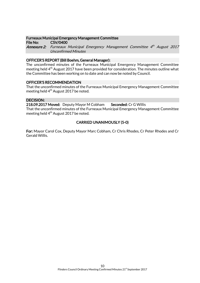#### Furneaux Municipal Emergency Management Committee

File No: CSV/0400 **Annexure 2:** Furneaux Municipal Emergency Management Committee 4th August 2017 Unconfirmed Minutes

#### OFFICER'S REPORT (Bill Boehm, General Manager):

The unconfirmed minutes of the Furneaux Municipal Emergency Management Committee meeting held 4<sup>th</sup> August 2017 have been provided for consideration. The minutes outline what the Committee has been working on to date and can now be noted by Council.

# OFFICER'S RECOMMENDATION

That the unconfirmed minutes of the Furneaux Municipal Emergency Management Committee meeting held  $4<sup>th</sup>$  August 2017 be noted.

# DECISION:

218.09.2017 Moved: Deputy Mayor M Cobham Seconded: Cr G Willis That the unconfirmed minutes of the Furneaux Municipal Emergency Management Committee meeting held  $4<sup>th</sup>$  August 2017 be noted.

# CARRIED UNANIMOUSLY (5-0)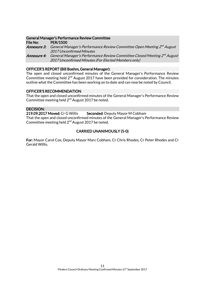#### General Manager's Performance Review Committee

File No: PER/1500 **Annexure 3:** General Manager's Performance Review Committee Open Meeting 2<sup>nd</sup> August 2017 Unconfirmed Minutes **Annexure 4:** General Manager's Performance Review Committee Closed Meeting 2<sup>nd</sup> August 2017 Unconfirmed Minutes (For Elected Members only)

#### OFFICER'S REPORT (Bill Boehm, General Manager):

The open and closed unconfirmed minutes of the General Manager's Performance Review Committee meeting held  $2^{nd}$  August 2017 have been provided for consideration. The minutes outline what the Committee has been working on to date and can now be noted by Council.

# OFFICER'S RECOMMENDATION

That the open and closed unconfirmed minutes of the General Manager's Performance Review Committee meeting held 2<sup>nd</sup> August 2017 be noted.

# DECISION:

219.09.2017 Moved: Cr G Willis Seconded: Deputy Mayor M Cobham That the open and closed unconfirmed minutes of the General Manager's Performance Review Committee meeting held 2<sup>nd</sup> August 2017 be noted.

# CARRIED UNANIMOUSLY (5-0)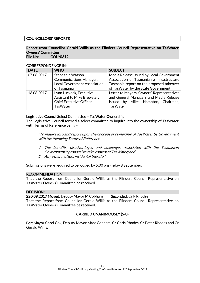# COUNCILLORS' REPORTS

#### Report from Councillor Gerald Willis as the Flinders Council Representative on TasWater Owners' Committee File No: COU/0312

#### CORRESPONDENCE IN:

| <b>DATE</b> | <b>WHO</b>                          | <b>SUBJECT</b>                            |
|-------------|-------------------------------------|-------------------------------------------|
| 07.08.2017  | Stephanie Watson,                   | Media Release issued by Local Government  |
|             | <b>Communications Manager,</b>      | Association of Tasmania re Infrastructure |
|             | <b>Local Government Association</b> | Tasmania report on the proposed takeover  |
|             | of Tasmania                         | of TasWater by the State Government       |
| 16.08.2017  | Lynn Luckock, Executive             | Letter to Mayors, Owners' Representatives |
|             | Assistant to Mike Brewster,         | and General Managers and Media Release    |
|             | Chief Executive Officer,            | issued by Miles Hampton, Chairman,        |
|             | <b>TasWater</b>                     | <b>TasWater</b>                           |

#### Legislative Council Select Committee – TasWater Ownership

The Legislative Council formed a select committee to inquire into the ownership of TasWater with Terms of Reference being:-

"To inquire into and report upon the concept of ownership of TasWater by Government with the following Terms of Reference –

- 1. The benefits, disadvantages and challenges associated with the Tasmanian Government's proposal to take control of TasWater; and
- 2. Any other matters incidental thereto."

Submissions were required to be lodged by 5:00 pm Friday 8 September.

#### RECOMMENDATION:

That the Report from Councillor Gerald Willis as the Flinders Council Representative on TasWater Owners' Committee be received.

#### DECISION:

220.09.2017 Moved: Deputy Mayor M Cobham Seconded: Cr P Rhodes

That the Report from Councillor Gerald Willis as the Flinders Council Representative on TasWater Owners' Committee be received.

# CARRIED UNANIMOUSLY (5-0)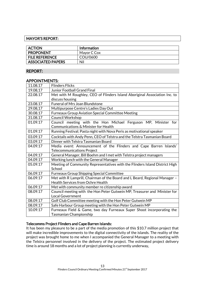# MAYOR'S REPORT:

| <b>ACTION</b>            | <b>Information</b> |
|--------------------------|--------------------|
| <b>PROPONENT</b>         | Mayor C Cox        |
| <b>FILE REFERENCE</b>    | COU/0600           |
| <b>ASSOCIATED PAPERS</b> | Nil                |

# REPORT:

# APPOINTMENTS:

| 11.08.17 | <b>Flinders Flicks</b>                                                                                 |
|----------|--------------------------------------------------------------------------------------------------------|
| 19.08,17 | <b>Junior Football Grand Final</b>                                                                     |
| 22.08.17 | Met with M Roughley, CEO of Flinders Island Aboriginal Association Inc. to                             |
|          | discuss housing                                                                                        |
| 23.08.17 | <b>Funeral of Mrs Joan Blundstone</b>                                                                  |
| 29.08,17 | Multipurpose Centre's Ladies Day Out                                                                   |
| 30.08.17 | <b>Furneaux Group Aviation Special Committee Meeting</b>                                               |
| 31.08.17 | <b>Council Workshop</b>                                                                                |
| 01.09.17 | Council meeting with the Hon Michael Ferguson MP, Minister for<br>Communications & Minister for Health |
| 01.09.17 | Running Festival; Pasta night with Nova Peris as motivational speaker                                  |
| 03.09.17 | Cocktails with Andy Penn, CEO of Telstra and the Telstra Tasmanian Board                               |
| 03.09.17 | Dinner with Telstra Tasmanian Board                                                                    |
| 04.09.17 | Media event: Announcement of the Flinders and Cape Barren Islands'                                     |
|          | <b>Telecommunications Project</b>                                                                      |
| 04.09.17 | General Manager, Bill Boehm and I met with Telstra project managers                                    |
| 04.09.17 | Working lunch with the General Manager                                                                 |
| 05.09.17 | Meeting of Community Representatives with the Flinders Island District High<br>School                  |
| 06.09.17 | Furneaux Group Shipping Special Committee                                                              |
| 06.09.17 | Met with R Lamprill, Chairman of the Board and L Beard, Regional Manager -                             |
|          | <b>Health Services from Ochre Health</b>                                                               |
| 06.09.17 | Met with community member re citizenship award                                                         |
| 08.09.17 | Council meeting with the Hon Peter Gutwein MP, Treasurer and Minister for                              |
|          | <b>Local Government</b>                                                                                |
| 08.09.17 | Golf Club Committee meeting with the Hon Peter Gutwein MP                                              |
| 08.09.17 | Safe Harbour Group meeting with the Hon Peter Gutwein MP                                               |
| 10.09.17 | Furneaux Field & Game, two day Furneaux Super Shoot incorporating the                                  |
|          | <b>Tasmanian Championship</b>                                                                          |

# Telecomms Project Flinders and Cape Barren Islands:

It has been my pleasure to be a part of the media promotion of this \$10.7 million project that will make incredible improvements to the digital connectivity of the islands. The reality of the project was brought home to me when I accompanied the General Manager to a meeting with the Telstra personnel involved in the delivery of the project. The estimated project delivery time is around 18 months and a lot of project planning is currently underway.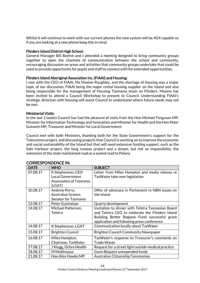Whilst it will continue to work with our current phones the new system will be 4GX capable so if you are looking at a new phone keep this in mind.

# Flinders Island District High School:

General Manager Bill Boehm and I attended a meeting designed to bring community groups together to open the channels of communication between the school and community, encouraging discussion on areas and activities that community groups undertake that could be used to provide opportunity for pupils and staff to connect with for extended opportunities.

# Flinders Island Aboriginal Association Inc. (FIAAI) and Housing:

I met with the CEO of FIAAI, Ms Maxine Roughley, and the shortage of housing was a major topic of our discussion, FIAAI being the major rental housing supplier on the Island and also being responsible for the management of Housing Tasmania stock on Flinders. Maxine has been invited to attend a Council Workshop to present to Council. Understanding FIAAI's strategic direction with housing will assist Council to understand where future needs may not be met.

#### Ministerial Visits:

In the last 2 weeks Council has had the pleasure of visits from the Hon Michael Ferguson MP, Minister for Information Technology and Innovation and Minister for Health and the Hon Peter Gutwein MP, Treasurer and Minister for Local Government.

Council met with both Ministers, thanking both for the State Government's support for the Telecomms project, and discussing projects that Council is working on to improve the economic and social sustainability of the Island but that will need extensive funding support, such as the Safe Harbour project, the long runway project and a dream, but not an impossibility, the extension of the state maintained road as a sealed road to Palana.

| <b>DATE</b> | <b>WHO</b>                                                                               | <b>SUBJECT</b>                                                                                                                                                                                       |
|-------------|------------------------------------------------------------------------------------------|------------------------------------------------------------------------------------------------------------------------------------------------------------------------------------------------------|
| 07.08.17    | K Stephenson, CEO<br><b>Local Government</b><br><b>Association of Tasmania</b><br>(LGAT) | Letter from Miles Hampton and media release re<br>Tas Water take over legislation                                                                                                                    |
| 10.08.17    | Andrew Perry,<br><b>Australian Greens</b><br>Senator for Tasmania                        | Offer of advocacy in Parliament re NBN issues on<br>the Island                                                                                                                                       |
| 12.08.17    | Peter Guichelaar                                                                         | Quarry development                                                                                                                                                                                   |
| 14.08.17    | Michael Patterson,<br>Telstra                                                            | Invitation to dinner with Telstra Tasmanian Board<br>and Telstra CEO to celebrate the Flinders Island<br>Building Better Regions Fund successful grant<br>application and following press conference |
| 14.08.17    | K Stephenson, LGAT                                                                       | <b>Communication locally about TasWater</b>                                                                                                                                                          |
| 15.08.17    | Brighton Council                                                                         | <b>Brighton Council Community Newspaper</b>                                                                                                                                                          |
| 16.08.17    | Miles Hampton,<br>Chairman, TasWater                                                     | TasWater's response to Treasurer's comments on<br><b>Trade Waste</b>                                                                                                                                 |
| 17.08.17    | J Klugg, Ochre Health                                                                    | Request for a street light outside medical practice                                                                                                                                                  |
| 18.08.17    | M Mollineaux                                                                             | Gunn Bequest unexpended funds                                                                                                                                                                        |
| 21.08.17    | Hon Alex Hawke MP                                                                        | Australian Citizenship Ceremonies                                                                                                                                                                    |

# CORRESPONDENCE IN: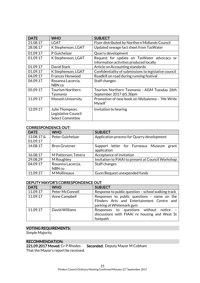| <b>DATE</b> | <b>WHO</b>                                                        | <b>SUBJECT</b>                                                                        |
|-------------|-------------------------------------------------------------------|---------------------------------------------------------------------------------------|
| 21.08.17    | <b>LGAT</b>                                                       | Flyer distributed by Northern Midlands Council                                        |
| 28.08.17    | K Stephenson, LGAT                                                | Updated sewage fact sheet from TasWater                                               |
| 01.09.17    | P Guichelaar                                                      | Quarry development                                                                    |
| 01.09.17    | K Stephenson, LGAT                                                | Request for update on TasWater advocacy or<br>information activities produced locally |
| 01.09.17    | David Stark                                                       | Article on Accounting standards                                                       |
| 01.09.17    | K Stephenson, LGAT                                                | Confidentiality of submissions to legislative council                                 |
| 04.09.17    | <b>Frances Henwood</b>                                            | Roadkill on road during running festival                                              |
| 04.09.17    | Rosanna Lacorcia,<br>NBN co                                       | Staff changes                                                                         |
| 05.09.17    | <b>Tourism Northern</b><br>Tasmania                               | Tourism Northern Tasmania - AGM Tuesday 26th<br>September 2017@5.30pm                 |
| 11.09.17    | <b>Monash University</b>                                          | Promotion of new book on Wybalenna - 'Me Write<br>Myself'                             |
| 12.09.17    | Julie Thompson,<br>Legislative Council<br><b>Select Committee</b> | Invitation to hearing                                                                 |

# CORRESPONDENCE OUT:

| <b>DATE</b> | <b>WHO</b>           | <b>SUBJECT</b>                                             |
|-------------|----------------------|------------------------------------------------------------|
| 13.08.17 &  | Peter Guichelaar     | Application process for Quarry development                 |
| 01.09.17    |                      |                                                            |
| 14.08.17    | <b>Bron Grutzner</b> | Support letter for Furneaux Museum<br>grant<br>application |
| 16.08.17    | M Patterson, Telstra | Acceptance of invitation                                   |
| 29.08.29    | M Roughley           | Invitation to FIAAI to present at Council Workshop         |
| 04.09.17    | Rosanna Lacorcia,    | Staff changes                                              |
|             | NBN co               |                                                            |
| 11.09.17    | M Mollineaux         | Gunn Bequest unexpended funds                              |

# DEPUTY MAYOR'S CORRESPONDENCE OUT

| <b>DATE</b> | <b>WHO</b>      | <b>SUBJECT</b>                                                                                                        |
|-------------|-----------------|-----------------------------------------------------------------------------------------------------------------------|
| 11.09.17    | Peter McConnell | Response to public question - school walking track                                                                    |
| 11.09.17    | Anne Campbell   | Responses to public questions - name on the<br>Flinders Arts and Entertainment Centre and<br>parking at Whitemark gym |
| 11.09.17    | David Williams  | Responses to questions without notice -<br>discussions with FIAAI re housing and West St<br>footpath                  |

# VOTING REQUIREMENTS:

Simple Majority

RECOMMENDATION:<br>221.09.2017 Moved: Cr P Rhodes Seconded: Deputy Mayor M Cobham That the Mayor's report be received.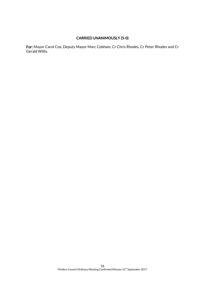# CARRIED UNANIMOUSLY (5-0)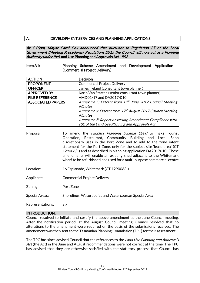# A. DEVELOPMENT SERVICES AND PLANNING APPLICATIONS

At 1.16pm, Mayor Carol Cox announced that pursuant to Regulation 25 of the Local Government (Meeting Procedures) Regulations 2015 the Council will now act as a Planning Authority under the Land Use Planning and Approvals Act 1993.

#### Item A1: Planning Scheme Amendment and Development Application – (Commercial Project Delivery)

| <b>ACTION</b>                                                                                   | <b>Decision</b>                                                       |  |
|-------------------------------------------------------------------------------------------------|-----------------------------------------------------------------------|--|
| <b>PROPONENT</b>                                                                                | <b>Commercial Project Delivery</b>                                    |  |
| <b>OFFICER</b>                                                                                  | James Ireland (consultant town planner)                               |  |
| <b>APPROVED BY</b>                                                                              | Karin Van Straten (senior consultant town planner)                    |  |
| <b>FILE REFERENCE</b>                                                                           | AMD01/17 and DA2017/010                                               |  |
| Annexure 5: Extract from 15 <sup>th</sup> June 2017 Council Meeting<br><b>ASSOCIATED PAPERS</b> |                                                                       |  |
|                                                                                                 | <b>Minutes</b>                                                        |  |
|                                                                                                 | Annexure 6: Extract from 17 <sup>th</sup> August 2017 Council Meeting |  |
|                                                                                                 | <b>Minutes</b>                                                        |  |
|                                                                                                 | Annexure 7: Report Assessing Amendment Compliance with                |  |
|                                                                                                 | s32 of the Land Use Planning and Approvals Act                        |  |

- Proposal: To amend the *Flinders Planning Scheme 2000* to make Tourist Operation, Restaurant, Community Building and Local Shop discretionary uses in the Port Zone and to add to the zone intent statement for the Port Zone, only for the subject site 'lease area' (CT 129006/1) and as described in planning application DA2017010. These amendments will enable an existing shed adjacent to the Whitemark wharf to be refurbished and used for a multi-purpose commercial centre.
- Location: 16 Esplanade, Whitemark (CT:129006/1)
- Applicant: Commercial Project Delivery
- Zoning: Port Zone
- Special Areas: Shorelines, Waterbodies and Watercourses Special Area

Representations: Six

# INTRODUCTION:

Council resolved to initiate and certify the above amendment at the June Council meeting. After the notification period, at the August Council meeting, Council resolved that no alterations to the amendment were required on the basis of the submissions received. The amendment was then sent to the Tasmanian Planning Commission (TPC) for their assessment.

The TPC has since advised Council that the references to the Land Use Planning and Approvals Act (the Act) in the June and August recommendations were not correct at the time. The TPC has advised that they are otherwise satisfied with the statutory process that Council has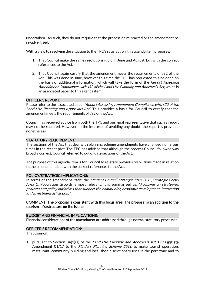undertaken. As such, they do not require that the process be re-started or the amendment be re-advertised.

With a view to resolving the situation to the TPC's satisfaction, this agenda item proposes:

- 1. That Council make the same resolutions it did in June and August, but with the correct references to the Act.
- 2. That Council again certify that the amendment meets the requirements of s32 of the Act. This was done in June, however this time the TPC has requested this be done on the basis of additional information, which will take the form of the Report Assessing Amendment Compliance with s32 of the Land Use Planning and Approvals Act, which is an associated paper to this agenda item.

#### OFFICER'S REPORT:

Please refer to the associated paper 'Report Assessing Amendment Compliance with s32 of the Land Use Planning and Approvals Act'. This provides a basis for Council to certify that the amendment meets the requirements of s32 of the Act.

Council has received advice from both the TPC and our legal representative that such a report may not be required. However, in the interests of avoiding any doubt, the report is provided nonetheless.

#### STATUTORY REQUIREMENT:

The sections of the Act that deal with planning scheme amendments have changed numerous times in the recent past. The TPC has advised that although the process Council followed was broadly correct, Council referred to out of date sections of the Act.

The purpose of this agenda item is for Council to re-state previous resolutions made in relation to the amendment, but with the correct references to the Act.

#### POLICY/STRATEGIC IMPLICATIONS:

In terms of the amendment itself, the *Flinders Council Strategic Plan 2015*, Strategic Focus Area 1: Population Growth is most relevant. It is summarised as: "Focusing on strategies, projects and policy initiatives that support the community, economic development, innovation and investment attraction."

#### COMMENT: The proposal is consistent with this focus area. The proposal is an addition to the tourism infrastructure on the Island.

#### BUDGET AND FINANCIAL IMPLICATIONS:

Financial considerations of the amendment are addressed through normal statutory processes.

#### OFFICER'S RECOMMENDATION:

That Council:

1. pursuant to Section 34(1)(a) of the *Land Use Planning and Approvals Act* 1993 initiate Amendment 01/17 to the *Flinders Planning Scheme 2000* to make tourist operation, restaurant, community building and local shop discretionary uses in the port zone and to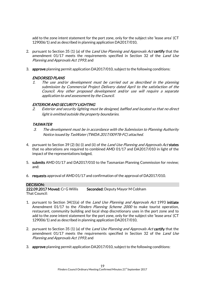add to the zone intent statement for the port zone, only for the subject site 'lease area' (CT 129006/1) and as described in planning application DA2017/010,

- 2. pursuant to Section 35 (1) (a) of the *Land Use Planning and Approvals Act* certify that the amendment 01/17 meets the requirements specified in Section 32 of the *Land Use* Planning and Approvals Act 1993; and
- 3. approve planning permit application DA2017/010, subject to the following conditions:

# ENDORSED PLANS

1. The use and/or development must be carried out as described in the planning submission by Commercial Project Delivery dated April to the satisfaction of the Council. Any other proposed development and/or use will require a separate application to and assessment by the Council.

# EXTERIOR AND SECURITY LIGHTING

2. Exterior and security lighting must be designed, baffled and located so that no direct light is emitted outside the property boundaries.

# TASWATER

- 3. The development must be in accordance with the Submission to Planning Authority Notice issued by TasWater (TWDA 2017/00978-FC) attached.
- 4. pursuant to Section 39 (2) (b) (i) and (ii) of the Land Use Planning and Approvals Act states that no alterations are required to combined AMD 01/17 and DA2017/010 in light of the impact of the representations lodged,
- 5. submits AMD 01/17 and DA2017/010 to the Tasmanian Planning Commission for review; and:
- 6. requests approval of AMD 01/17 and confirmation of the approval of DA2017/010.

#### DECISION:

222.09.2017 Moved: Cr G Willis Seconded: Deputy Mayor M Cobham That Council:

- 1. pursuant to Section 34(1)(a) of the *Land Use Planning and Approvals Act* 1993 initiate Amendment 01/17 to the Flinders Planning Scheme 2000 to make tourist operation, restaurant, community building and local shop discretionary uses in the port zone and to add to the zone intent statement for the port zone, only for the subject site 'lease area' (CT 129006/1) and as described in planning application DA2017/010,
- 2. pursuant to Section 35 (1) (a) of the *Land Use Planning and Approvals Act* certify that the amendment 01/17 meets the requirements specified in Section 32 of the Land Use Planning and Approvals Act 1993; and
- 3. approve planning permit application DA2017/010, subject to the following conditions: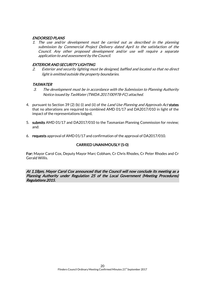#### ENDORSED PLANS

1. The use and/or development must be carried out as described in the planning submission by Commercial Project Delivery dated April to the satisfaction of the Council. Any other proposed development and/or use will require a separate application to and assessment by the Council.

# EXTERIOR AND SECURITY LIGHTING

2. Exterior and security lighting must be designed, baffled and located so that no direct light is emitted outside the property boundaries.

# **TASWATER**

- 3. The development must be in accordance with the Submission to Planning Authority Notice issued by TasWater (TWDA 2017/00978-FC) attached.
- 4. pursuant to Section 39 (2) (b) (i) and (ii) of the *Land Use Planning and Approvals Act* states that no alterations are required to combined AMD 01/17 and DA2017/010 in light of the impact of the representations lodged,
- 5. submits AMD 01/17 and DA2017/010 to the Tasmanian Planning Commission for review; and:
- 6. requests approval of AMD 01/17 and confirmation of the approval of DA2017/010.

# CARRIED UNANIMOUSLY (5-0)

For: Mayor Carol Cox, Deputy Mayor Marc Cobham, Cr Chris Rhodes, Cr Peter Rhodes and Cr Gerald Willis.

At 1.18pm, Mayor Carol Cox announced that the Council will now conclude its meeting as a Planning Authority under Regulation 25 of the Local Government (Meeting Procedures) Regulations 2015.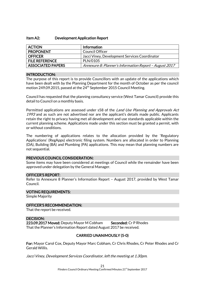#### Item A2: Development Application Report

| <b>ACTION</b>            | Information                                            |
|--------------------------|--------------------------------------------------------|
| <b>PROPONENT</b>         | <b>Council Officer</b>                                 |
| <b>OFFICER</b>           | Jacci Viney, Development Services Coordinator          |
| <b>FILE REFERENCE</b>    | PLN/0105                                               |
| <b>ASSOCIATED PAPERS</b> | Annexure 8: Planner's Information Report - August 2017 |

#### INTRODUCTION:

The purpose of this report is to provide Councillors with an update of the applications which have been dealt with by the Planning Department for the month of October as per the council motion 249.09.2015, passed at the  $24<sup>th</sup>$  September 2015 Council Meeting.

Council has requested that the planning consultancy service (West Tamar Council) provide this detail to Council on a monthly basis.

Permitted applications are assessed under s58 of the *Land Use Planning and Approvals Act* 1993 and as such are not advertised nor are the applicant's details made public. Applicants retain the right to privacy having met all development and use standards applicable within the current planning scheme. Applications made under this section must be granted a permit, with or without conditions.

The numbering of applications relates to the allocation provided by the 'Regulatory Applications' (RegApps) electronic filing system. Numbers are allocated in order to Planning (DA), Building (BA) and Plumbing (PA) applications. This may mean that planning numbers are not sequential.

#### PREVIOUS COUNCIL CONSIDERATION:

Some items may have been considered at meetings of Council while the remainder have been approved under delegation by the General Manager.

#### OFFICER'S REPORT:

Refer to Annexure 8 Planner's Information Report – August 2017, provided by West Tamar Council.

#### VOTING REQUIREMENTS:

Simple Majority

#### OFFICER'S RECOMMENDATION:

That the report be received.

#### DECISION:

223.09.2017 Moved: Deputy Mayor M Cobham Seconded: Cr P Rhodes That the Planner's Information Report dated August 2017 be received.

# CARRIED UNANIMOUSLY (5-0)

For: Mayor Carol Cox, Deputy Mayor Marc Cobham, Cr Chris Rhodes, Cr Peter Rhodes and Cr Gerald Willis.

Jacci Viney, Development Services Coordinator, left the meeting at 1.30pm.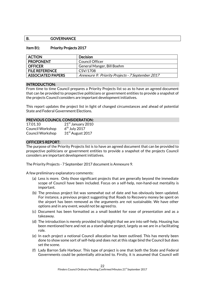# B. **GOVERNANCE**

#### Item B1: Priority Projects 2017

| <b>ACTION</b>            | <b>Decision</b>                                  |
|--------------------------|--------------------------------------------------|
| <b>PROPONENT</b>         | Council Officer                                  |
| <b>OFFICER</b>           | General Manger, Bill Boehm                       |
| <b>FILE REFERENCE</b>    | CSV/1708                                         |
| <b>ASSOCIATED PAPERS</b> | Annexure 9: Priority Projects - 7 September 2017 |

#### INTRODUCTION:

From time to time Council prepares a Priority Projects list so as to have an agreed document that can be provided to prospective politicians or government entities to provide a snapshot of the projects Council considers are important development initiatives.

This report updates the project list in light of changed circumstances and ahead of potential State and Federal Government Elections.

#### PREVIOUS COUNCIL CONSIDERATION:

17.01.10 21st January 2010 Council Workshop 6  $6<sup>th</sup>$  July 2017 Council Workshop  $31<sup>st</sup>$  August 2017

#### OFFICER'S REPORT:

The purpose of the Priority Projects list is to have an agreed document that can be provided to prospective politicians or government entities to provide a snapshot of the projects Council considers are important development initiatives.

The Priority Projects - 7 September 2017 document is Annexure 9.

A few preliminary explanatory comments:

- (a) Less is more. Only those significant projects that are generally beyond the immediate scope of Council have been included. Focus on a self-help, non-hand-out mentality is important.
- (b) The previous project list was somewhat out of date and has obviously been updated. For instance, a previous project suggesting that Roads to Recovery money be spent on the airport has been removed as the arguments are not sustainable. We have other options and in any event, would not be agreed to.
- (c) Document has been formatted as a small booklet for ease of presentation and as a takeaway.
- (d) The introduction is merely provided to highlight that we are into self-help. Housing has been mentioned here and not as a stand-alone project, largely as we are in a facilitating role.
- (e) In each project a notional Council allocation has been outlined. This has merely been done to show some sort of self-help and does not at this stage bind the Council but does set the scene.
- (f) Lady Barron Safe Harbour. This type of project is one that both the State and Federal Governments could be potentially attracted to. Firstly, it is assumed that Council will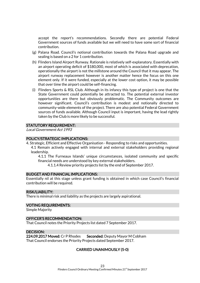accept the report's recommendations. Secondly there are potential Federal Government sources of funds available but we will need to have some sort of financial contribution.

- (g) Palana Road. Council's notional contribution towards the Palana Road upgrade and sealing is based on a 2 for 1 contribution.
- (h) Flinders Island Airport Runway. Rationale is relatively self-explanatory. Essentially with an airport operating deficit of \$180,000, most of which is associated with deprecation, operationally the airport is not the millstone around the Council that it may appear. The airport runway replacement however is another matter hence the focus on this one element only. If it were funded, especially at the lower cost option, it may be possible that over time the airport could be self-financing.
- (i) Flinders Sports & RSL Club. Although in its infancy this type of project is one that the State Government could potentially be attracted to. The potential external investor opportunities are there but obviously problematic. The Community outcomes are however significant. Council's contribution is modest and notionally directed to community-wide elements of the project. There are also potential Federal Government sources of funds available. Although Council input is important, having the lead rightly taken by the Club is more likely to be successful.

#### STATUTORY REQUIREMENT:

Local Government Act 1993

#### POLICY/STRATEGIC IMPLICATIONS:

4. Strategic, Efficient and Effective Organisation - Responding to risks and opportunities. 4.1 Remain actively engaged with internal and external stakeholders providing regional leadership.

4.1.1 The Furneaux Islands' unique circumstances, isolated community and specific financial needs are understood by key external stakeholders.

4.1.1.4 Review priority projects list by the end of September 2017.

#### BUDGET AND FINANCIAL IMPLICATIONS:

Essentially nil at this stage unless grant funding is obtained in which case Council's financial contribution will be required.

#### RISK/LIABILITY:

There is minimal risk and liability as the projects are largely aspirational.

#### VOTING REQUIREMENTS:

Simple Majority

#### OFFICER'S RECOMMENDATION:

That Council notes the Priority Projects list dated 7 September 2017.

#### DECISION:

224.09.2017 Moved: Cr P Rhodes Seconded: Deputy Mayor M Cobham That Council endorses the Priority Projects dated September 2017.

#### CARRIED UNANIMOUSLY (5-0)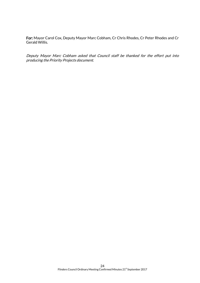For: Mayor Carol Cox, Deputy Mayor Marc Cobham, Cr Chris Rhodes, Cr Peter Rhodes and Cr Gerald Willis.

Deputy Mayor Marc Cobham asked that Council staff be thanked for the effort put into producing the Priority Projects document.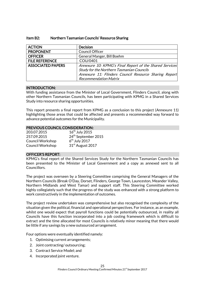| <b>ACTION</b>            | <b>Decision</b>                                         |
|--------------------------|---------------------------------------------------------|
| <b>PROPONENT</b>         | Council Officer                                         |
| <b>OFFICER</b>           | General Manger, Bill Boehm                              |
| <b>FILE REFERENCE</b>    | COU/0401                                                |
| <b>ASSOCIATED PAPERS</b> | Annexure 10: KPMG's Final Report of the Shared Services |
|                          | <b>Study for the Northern Tasmanian Councils</b>        |
|                          | Annexure 11: Flinders Council Resource Sharing Report   |
|                          | <b>Recommendation Matrix</b>                            |

#### Item B2: Northern Tasmanian Councils' Resource Sharing

#### INTRODUCTION:

With funding assistance from the Minister of Local Government, Flinders Council, along with other Northern Tasmanian Councils, has been participating with KPMG in a Shared Services Study into resource sharing opportunities.

This report presents a final report from KPMG as a conclusion to this project (Annexure 11) highlighting those areas that could be affected and presents a recommended way forward to advance potential outcomes for the Municipality.

# PREVIOUS COUNCIL CONSIDERATION:

| 203.07.2015             | $16^{\text{th}}$ July 2015      |
|-------------------------|---------------------------------|
| 257.09.2015             | 24 <sup>th</sup> September 2015 |
| <b>Council Workshop</b> | $6th$ July 2017                 |
| <b>Council Workshop</b> | 31 <sup>st</sup> August 2017    |

#### OFFICER'S REPORT:

KPMG's final report of the Shared Services Study for the Northern Tasmanian Councils has been presented to the Minister of Local Government and a copy as annexed sent to all Councillors.

The project was overseen by a Steering Committee comprising the General Managers of the Northern Councils (Break O'Day, Dorset, Flinders, George Town, Launceston, Meander Valley, Northern Midlands and West Tamar) and support staff. This Steering Committee worked highly collegiately such that the progress of the study was enhanced with a strong platform to work constructively in the implementation of outcomes.

The project review undertaken was comprehensive but also recognised the complexity of the situation given the political, financial and operational perspectives. For instance, as an example, whilst one would expect that payroll functions could be potentially outsourced, in reality all Councils have this function incorporated into a job costing framework which is difficult to extract and the time allocated for most Councils is relatively minor meaning that there would be little if any savings by a new outsourced arrangement.

Four options were eventually identified namely:

- 1. Optimising current arrangements;
- 2. Joint contracting/ outsourcing;
- 3. Contract Service Model; and
- 4. Incorporated joint venture.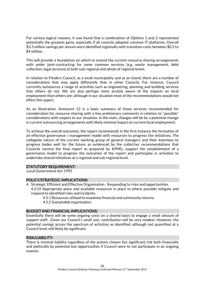For various logical reasons, it was found that a combination of Options 1 and 2 represented potentially the greatest gains, especially if all councils adopted common IT platforms. Overall \$3.3 million savings per annum were identified regionally with transition costs between \$0.5 to \$4 million.

This will provide a foundation on which to extend the current resource sharing arrangements with wider joint-contracting for some common services (e.g. waste management, debt collection, legal services) at both sub-regional and whole of regional levels.

In relation to Flinders Council, as a small municipality and as an island, there are a number of considerations that may apply differently than in other Councils. For instance, Council currently outsources a range of activities such as engineering, planning and building services that others do not. We are also perhaps more acutely aware of the impacts on local employment than others are; although in our situation most of the recommendations would not effect this aspect.

As an illustration, Annexure 12 is a basic summary of those services recommended for consideration for resource sharing with a few preliminary comments in relation to "possible" considerations with respect to our situation. In the main, changes will be by a potential change in current outsourcing arrangements with likely minimal impact on current local employment.

To achieve the overall outcomes, the report recommends in the first instance the formation of an effective governance / management model with resources to progress the initiatives. The collegiate nature of the current working group of general managers and their keenness to progress bodes well for the future as evidenced by the collective recommendations that Councils receive the final report as prepared by KPMG, support the establishment of a governance model to progress the outcomes of the report and participate in activities to undertake shared initiatives at a regional and sub-regional level.

#### STATUTORY REQUIREMENT:

Local Government Act 1993

#### POLICY/STRATEGIC IMPLICATIONS:

- 4. Strategic, Efficient and Effective Organisation Responding to risks and opportunities. 4.3.19 Appropriate plans and available resources in place to where possible mitigate and respond to identified risks and incidents.
	- 4.5.1 Resources utilised to maximise financial and community returns.
	- 4.5.2 Sustainable organisation.

#### BUDGET AND FINANCIAL IMPLICATIONS:

Essentially there will be some ongoing costs on a shared basis to engage a small amount of support staff. Given our Council's small size, contribution will be very modest. However, the potential savings across the spectrum of activities as identified, although not quantified at a Council level, will likely be significant.

#### RISK/LIABILITY:

There is minimal liability regardless of the actions chosen but significant risk both financially and politically by potential lost opportunities if Council were to not participate in an ongoing manner.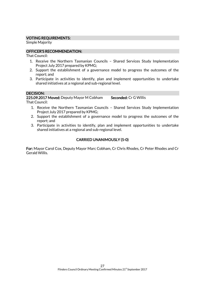#### VOTING REQUIREMENTS:

Simple Majority

# OFFICER'S RECOMMENDATION:

That Council:

- 1. Receive the Northern Tasmanian Councils Shared Services Study Implementation Project July 2017 prepared by KPMG;
- 2. Support the establishment of a governance model to progress the outcomes of the report; and
- 3. Participate in activities to identify, plan and implement opportunities to undertake shared initiatives at a regional and sub-regional level.

#### DECISION:

225.09.2017 Moved: Deputy Mayor M Cobham Seconded: Cr G Willis

That Council:

- 1. Receive the Northern Tasmanian Councils Shared Services Study Implementation Project July 2017 prepared by KPMG;
- 2. Support the establishment of a governance model to progress the outcomes of the report; and
- 3. Participate in activities to identify, plan and implement opportunities to undertake shared initiatives at a regional and sub-regional level.

# CARRIED UNANIMOUSLY (5-0)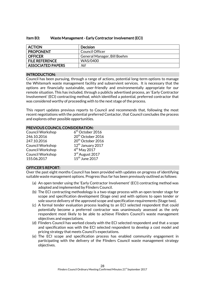|  | Item B3: | Waste Management - Early Contractor Involvement (ECI) |  |  |
|--|----------|-------------------------------------------------------|--|--|
|--|----------|-------------------------------------------------------|--|--|

| <b>ACTION</b>            | Decision                    |
|--------------------------|-----------------------------|
| <b>PROPONENT</b>         | Council Officer             |
| <b>OFFICER</b>           | General Manager, Bill Boehm |
| <b>FILE REFERENCE</b>    | WAS/0400                    |
| <b>ASSOCIATED PAPERS</b> | Nil                         |

#### INTRODUCTION:

Council has been pursuing, through a range of actions, potential long-term options to manage the Whitemark waste management facility and subservient services. It is necessary that the options are financially sustainable, user-friendly and environmentally appropriate for our remote situation. This has included, through a publicly advertised process, an 'Early Contractor Involvement' (ECI) contracting method, which identified a potential, preferred contractor that was considered worthy of proceeding with to the next stage of the process.

This report updates previous reports to Council and recommends that, following the most recent negotiations with the potential preferred Contactor, that Council concludes the process and explores other possible opportunities.

#### PREVIOUS COUNCIL CONSIDERATION:

| <b>Council Workshop</b> | $6th$ October 2016            |
|-------------------------|-------------------------------|
| 246.10.2016             | 20 <sup>th</sup> October 2016 |
| 247.10.2016             | 20 <sup>th</sup> October 2016 |
| <b>Council Workshop</b> | 12 <sup>th</sup> January 2017 |
| <b>Council Workshop</b> | $4th$ May 2017                |
| <b>Council Workshop</b> | 3rd August 2017               |
| 155.06.2017             | 15 <sup>th</sup> June 2017    |

#### OFFICER'S REPORT:

Over the past eight months Council has been provided with updates on progress of identifying suitable waste management options. Progress thus far has been previously outlined as follows:

- (a) An open tender using the 'Early Contractor Involvement' (ECI) contracting method was adopted and implemented by Flinders Council.
- (b) The ECI contracting methodology is a two-stage process with an open tender stage for scope and specification development (Stage one) and with options to open tender or sole source delivery of the approved scope and specification requirements (Stage two).
- (c) A formal tender evaluation process leading to an ECI selected respondent that could potentially become a preferred contractor was unanimously assessed as the only respondent most likely to be able to achieve Flinders Council's waste management objectives and expectations.
- (d) Flinders Council has worked closely with the ECI selected respondent and that a scope and specification was with the ECI selected respondent to develop a cost model and pricing strategy that meets Council's expectations.
- (e) The ECI scope and specification process has enabled community engagement in participating with the delivery of the Flinders Council waste management strategy objectives.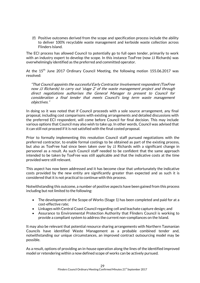(f) Positive outcomes derived from the scope and specification process include the ability to deliver 100% recyclable waste management and kerbside waste collection across Flinders Island.

The ECI process has allowed Council to potentially go to full open tender, primarily to work with an industry expert to develop the scope. In this instance ToxFree (now JJ Richards) was overwhelmingly identified as the preferred and committed operator.

At the  $15<sup>th</sup>$  June 2017 Ordinary Council Meeting, the following motion 155.06.2017 was resolved:

"That Council appoints the successful Early Contractor Involvement respondent (ToxFree now JJ Richards) to carry out 'stage 2' of the waste management project and through direct negotiations authorises the General Manager to present to Council for consideration a final tender that meets Council's long term waste management objectives."

In doing so it was noted that if Council proceeds with a sole source arrangement, any final proposal, including cost comparisons with existing arrangements and detailed discussions with the preferred ECI respondent, will come before Council for final decision. This may include various options that Council may also wish to take up. In other words, Council was advised that it can still not proceed if it is not satisfied with the final costed proposal.

Prior to formally implementing this resolution Council staff pursued negotiations with the preferred contractor, to enable formal costings to be obtained as part of the existing process, but also as ToxFree had since been taken over by JJ Richards with a significant change in personnel as a result. As such Council staff needed to be confident that the same approach intended to be taken by ToxFree was still applicable and that the indicative costs at the time provided were still relevant.

This aspect has now been addressed and it has become clear that unfortunately the indicative costs provided by the new entity are significantly greater than expected and as such it is considered that it is not practical to continue with this process.

Notwithstanding this outcome, a number of positive aspects have been gained from this process including but not limited to the following:

- The development of the Scope of Works (Stage 1) has been completed and paid for at a cost-effective rate;
- Linkages with Central Coast Council regarding cell and leachate capture design; and
- Assurance to Environmental Protection Authority that Flinders Council is working to provide a compliant system to address the current non-compliances on the Island.

It may also be relevant that potential resource sharing arrangements with Northern Tasmanian Councils have identified Waste Management as a probable combined tender and, notwithstanding our unique circumstances, an improved contract outsourcing model may be possible.

As a result, options of providing an in-house operation along the lines of the identified improved model or retendering within a now defined scope of works can be actively pursued.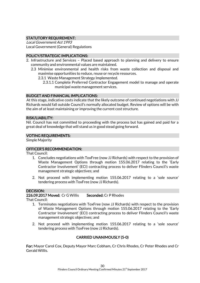# STATUTORY REQUIREMENT:

Local Government Act 1993 Local Government (General) Regulations

# POLICY/STRATEGIC IMPLICATIONS:

- 2. Infrastructure and Services Placed based approach to planning and delivery to ensure community and environmental values are maintained.
	- 2.3 Minimise environmental and health risks from waste collection and disposal and maximise opportunities to reduce, reuse or recycle resources.
		- 2.3.1 Waste Management Strategy Implemented.
			- 2.3.1.1 Complete Preferred Contractor Engagement model to manage and operate municipal waste management services.

# BUDGET AND FINANCIAL IMPLICATIONS:

At this stage, indicative costs indicate that the likely outcome of continued negotiations with JJ Richards would fall outside Council's normally allocated budget. Review of options will be with the aim of at least maintaining or improving the current cost structure.

# RISK/LIABILITY:

Nil. Council has not committed to proceeding with the process but has gained and paid for a great deal of knowledge that will stand us in good stead going forward.

#### VOTING REQUIREMENTS:

Simple Majority

# OFFICER'S RECOMMENDATION:

That Council:

- 1. Concludes negotiations with ToxFree (now JJ Richards) with respect to the provision of Waste Management Options through motion 155.06.2017 relating to the 'Early Contractor Involvement' (ECI) contracting process to deliver Flinders Council's waste management strategic objectives; and
- 2. Not proceed with implementing motion 155.06.2017 relating to a 'sole source' tendering process with ToxFree (now JJ Richards).

# DECISION:

226.09.2017 Moved: Cr G Willis Seconded: Cr P Rhodes

That Council:

- 1. Terminates negotiations with ToxFree (now JJ Richards) with respect to the provision of Waste Management Options through motion 155.06.2017 relating to the 'Early Contractor Involvement' (ECI) contracting process to deliver Flinders Council's waste management strategic objectives; and
- 2. Not proceed with implementing motion 155.06.2017 relating to a 'sole source' tendering process with ToxFree (now JJ Richards).

# CARRIED UNANIMOUSLY (5-0)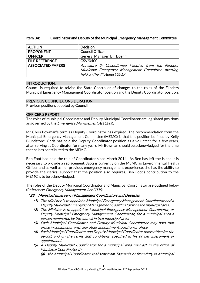#### Item B4: Coordinator and Deputy of the Municipal Emergency Management Committee

| <b>ACTION</b>            | <b>Decision</b>                                   |
|--------------------------|---------------------------------------------------|
| <b>PROPONENT</b>         | <b>Council Officer</b>                            |
| <b>OFFICER</b>           | General Manager, Bill Boehm                       |
| <b>FILE REFERENCE</b>    | CSV/0400                                          |
| <b>ASSOCIATED PAPERS</b> | Annexure 2: Unconfirmed Minutes from the Flinders |
|                          | Municipal Emergency Management Committee meeting  |
|                          | held on the 4 <sup>th</sup> August 2017           |

#### INTRODUCTION:

Council is required to advise the State Controller of changes to the roles of the Flinders Municipal Emergency Management Coordinator position and the Deputy Coordinator position.

# PREVIOUS COUNCIL CONSIDERATION:

Previous positions adopted by Council.

# OFFICER'S REPORT

The roles of Municipal Coordinator and Deputy Municipal Coordinator are legislated positions as governed by the *Emergency Management Act 2006*.

Mr Chris Bowman's term as Deputy Coordinator has expired. The recommendation from the Municipal Emergency Management Committee (MEMC) is that this position be filled by Kelly Blundstone. Chris has held the Deputy Coordinator position as a volunteer for a few years, after serving as Coordinator for many years. Mr Bowman should be acknowledged for the time that he has contributed to the MEMC.

Ben Foot had held the role of Coordinator since March 2014. As Ben has left the Island it is necessary to provide a replacement. Jacci is currently on the MEMC as Environmental Health Officer and as well as her previous emergency management experience, she has the ability to provide the clerical support that the position also requires. Ben Foot's contribution to the MEMC is to be acknowledged.

The roles of the Deputy Municipal Coordinator and Municipal Coordinator are outlined below (Reference: Emergency Management Act 2006).

#### "23 Municipal Emergency Management Coordinators and Deputies

- (1) The Minister is to appoint a Municipal Emergency Management Coordinator and a Deputy Municipal Emergency Management Coordinator for each municipal area.
- (2) The Minister is to appoint as Municipal Emergency Management Coordinator, or Deputy Municipal Emergency Management Coordinator, for a municipal area a person nominated by the council in that municipal area.
- (3) Each Municipal Coordinator and Deputy Municipal Coordinator may hold that office in conjunction with any other appointment, position or office.
- (4) Each Municipal Coordinator and Deputy Municipal Coordinator holds office for the period, and on the terms and conditions, specified in his or her instrument of appointment.
- (5) A Deputy Municipal Coordinator for a municipal area may act in the office of Municipal Coordinator if–
	- (a) the Municipal Coordinator is absent from Tasmania or from duty as Municipal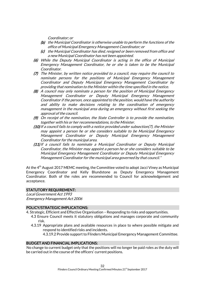Coordinator; or

- (b) the Municipal Coordinator is otherwise unable to perform the functions of the office of Municipal Emergency Management Coordinator; or
- (c) the Municipal Coordinator has died, resigned or been removed from office and a new Municipal Coordinator has not been appointed.
- (6) While the Deputy Municipal Coordinator is acting in the office of Municipal Emergency Management Coordinator, he or she is taken to be the Municipal Coordinator.
- (7) The Minister, by written notice provided to a council, may require the council to nominate persons for the positions of Municipal Emergency Management Coordinator and Deputy Municipal Emergency Management Coordinator by providing that nomination to the Minister within the time specified in the notice.
- (8) A council may only nominate a person for the position of Municipal Emergency Management Coordinator or Deputy Municipal Emergency Management Coordinator if the person, once appointed to the position, would have the authority and ability to make decisions relating to the coordination of emergency management in the municipal area during an emergency without first seeking the approval of the council.
- (9) On receipt of the nomination, the State Controller is to provide the nomination, together with his or her recommendations, to the Minister.
- (10) If a council fails to comply with a notice provided unde[r subsection\(7\),](http://www.thelaw.tas.gov.au/tocview/content.w3p;cond=;doc_id=12%2B%2B2006%2BGS23%40Gs7%40EN%2B20120912000000;histon=;prompt=;rec=28;term=#GS23@Gs7@EN) the Minister may appoint a person he or she considers suitable to be Municipal Emergency Management Coordinator or Deputy Municipal Emergency Management Coordinator for the municipal area.
- (11) If a council fails to nominate a Municipal Coordinator or Deputy Municipal Coordinator, the Minister may appoint a person he or she considers suitable to be Municipal Emergency Management Coordinator or Deputy Municipal Emergency Management Coordinator for the municipal area governed by that council."

At the 4<sup>th</sup> August 2017 MEMC meeting, the Committee voted to adopt Jacci Viney as Municipal Emergency Coordinator and Kelly Blundstone as Deputy Emergency Management Coordinator. Both of the roles are recommended to Council for acknowledgement and acceptance.

#### STATUTORY REQUIREMENT:

Local Government Act 1993 Emergency Management Act 2006

#### POLICY/STRATEGIC IMPLICATIONS:

- 4. Strategic, Efficient and Effective Organisation Responding to risks and opportunities.
	- 4.3 Ensure Council meets it statutory obligations and manages corporate and community risk.
	- 4.3.19 Appropriate plans and available resources in place to where possible mitigate and respond to identified risks and incidents.

4.3.19.2 Provide support to Flinders Municipal Emergency Management Committee.

#### BUDGET AND FINANCIAL IMPLICATIONS:

No change to current budget only that the positions will no longer be paid roles as the duty will be carried out in the course of the officers' current positions.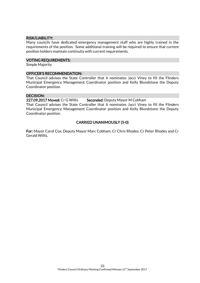#### RISK/LIABILITY:

Many councils have dedicated emergency management staff who are highly trained in the requirements of the position. Some additional training will be required to ensure that current position holders maintain continuity with current requirements.

#### VOTING REQUIREMENTS:

Simple Majority

#### OFFICER'S RECOMMENDATION:

That Council advises the State Controller that it nominates Jacci Viney to fill the Flinders Municipal Emergency Management Coordinator position and Kelly Blundstone the Deputy Coordinator position.

#### DECISION:

227.09.2017 Moved: Cr G Willis Seconded: Deputy Mayor M Cobham

That Council advises the State Controller that it nominates Jacci Viney to fill the Flinders Municipal Emergency Management Coordinator position and Kelly Blundstone the Deputy Coordinator position.

# CARRIED UNANIMOUSLY (5-0)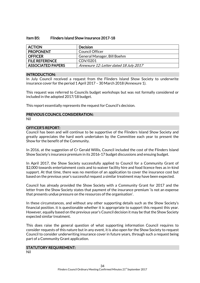#### Item B5: Flinders Island Show Insurance 2017-18

| <b>ACTION</b>            | <b>Decision</b>                        |
|--------------------------|----------------------------------------|
| <b>PROPONENT</b>         | Council Officer                        |
| <b>OFFICER</b>           | General Manager, Bill Boehm            |
| <b>FILE REFERENCE</b>    | CDV/0201                               |
| <b>ASSOCIATED PAPERS</b> | Annexure 12: Letter dated 18 July 2017 |

#### INTRODUCTION:

In July Council received a request from the Flinders Island Show Society to underwrite insurance cover for the period 1 April 2017 – 30 March 2018 (Annexure 1).

This request was referred to Councils budget workshops but was not formally considered or included in the adopted 2017/18 budget.

This report essentially represents the request for Council's decision.

# PREVIOUS COUNCIL CONSIDERATION:

Nil

#### OFFICER'S REPORT:

Council has been and will continue to be supportive of the Flinders Island Show Society and greatly appreciates the hard work undertaken by the Committee each year to present the Show for the benefit of the Community.

In 2016, at the suggestion of Cr Gerald Willis, Council included the cost of the Flinders Island Show Society's insurance premium in its 2016-17 budget discussions and ensuing budget.

In April 2017, the Show Society successfully applied to Council for a Community Grant of \$2,000 towards entertainment costs and to waiver facility hire and food licence fees as in-kind support. At that time, there was no mention of an application to cover the insurance cost but based on the previous year's successful request a similar treatment may have been expected.

Council has already provided the Show Society with a Community Grant for 2017 and the letter from the Show Society states that payment of the insurance premium 'is not an expense that presents undue pressure on the resources of the organisation'.

In these circumstances, and without any other supporting details such as the Show Society's financial position. it is questionable whether it is appropriate to support this request this year. However, equally based on the previous year's Council decision it may be that the Show Society expected similar treatment.

This does raise the general question of what supporting information Council requires to consider requests of this nature but in any event, it is also open for the Show Society to request Council to consider underwriting insurance cover in future years, through such a request being part of a Community Grant application.

#### STATUTORY REQUIREMENT:

Nil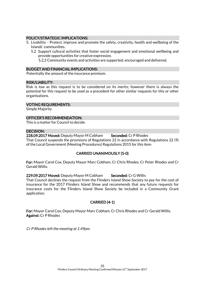#### POLICY/STRATEGIC IMPLICATIONS:

- 5. Livability Protect, improve and promote the safety, creativity, health and wellbeing of the Islands' communities.
	- 5.2 Support cultural activities that foster social engagement and emotional wellbeing and provide opportunities for creative expression.
		- 5.2.2 Community events and activities are supported, encouraged and delivered.

#### BUDGET AND FINANCIAL IMPLICATIONS:

Potentially the amount of the insurance premium.

#### RISK/LIABILITY:

Risk is low as this request is to be considered on its merits; however there is always the potential for this request to be used as a precedent for other similar requests for this or other organisations.

#### VOTING REQUIREMENTS:

Simple Majority

#### OFFICER'S RECOMMENDATION:

This is a matter for Council to decide.

#### DECISION:

228.09.2017 Moved: Deputy Mayor M Cobham Seconded: Cr P Rhodes That Council suspends the provisions of Regulations 22 in accordance with Regulations 22 (9)

of the Local Government (Meeting Procedures) Regulations 2015 for this item

# CARRIED UNANIMOUSLY (5-0)

For: Mayor Carol Cox, Deputy Mayor Marc Cobham, Cr Chris Rhodes, Cr Peter Rhodes and Cr Gerald Willis.

#### 229.09.2017 Moved: Deputy Mayor M Cobham Seconded: Cr G Willis

That Council declines the request from the Flinders Island Show Society to pay for the cost of insurance for the 2017 Flinders Island Show and recommends that any future requests for insurance costs for the Flinders Island Show Society be included in a Community Grant application.

# CARRIED (4-1)

For: Mayor Carol Cox, Deputy Mayor Marc Cobham, Cr Chris Rhodes and Cr Gerald Willis. Against: Cr P Rhodes

Cr P Rhodes left the meeting at 1.49pm.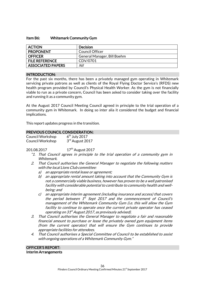#### Item B6: Whitemark Community Gym

| <b>ACTION</b>            | <b>Decision</b>             |
|--------------------------|-----------------------------|
| <b>PROPONENT</b>         | Council Officer             |
| <b>OFFICER</b>           | General Manager, Bill Boehm |
| <b>FILE REFERENCE</b>    | CDV/0701                    |
| <b>ASSOCIATED PAPERS</b> | Nil                         |

#### INTRODUCTION:

For the past six months, there has been a privately managed gym operating in Whitemark servicing private patrons as well as clients of the Royal Flying Doctor Service's (RFDS) new health program provided by Council's Physical Health Worker. As the gym is not financially viable to run as a private concern, Council has been asked to consider taking over the facility and running it as a community gym.

At the August 2017 Council Meeting Council agreed in principle to the trial operation of a community gym in Whitemark. In doing so inter alia it considered the budget and financial implications.

This report updates progress in the transition.

#### PREVIOUS COUNCIL CONSIDERATION:

| Council Workshop | $6th$ July 2017 |
|------------------|-----------------|
| Council Workshop | 3rd August 2017 |

201.08.2017 17<sup>th</sup> August 2017

- "1. That Council agrees in principle to the trial operation of a community gym in Whitemark.
- 2. That Council authorises the General Manager to negotiate the following matters with the local Lions Club committee:
	- a) an appropriate rental lease or agreement;
	- b) an appropriate rental amount taking into account that the Community Gym is not a commercially viable business, however has proven to be a well patronised facility with considerable potential to contribute to community health and wellbeing; and
	- c) an appropriate interim agreement (including insurance and access) that covers the period between  $1^{st}$  Sept 2017 and the commencement of Council's management of the Whitemark Community Gym (i.e. this will allow the Gym facility to continue to operate once the current private operator has ceased operating on 31<sup>st</sup> August 2017, as previously advised).
- 3. That Council authorises the General Manager to negotiate a fair and reasonable financial amount to purchase or lease the privately owned gym equipment items (from the current operator) that will ensure the Gym continues to provide appropriate facilities for attendees.
- 4. That Council authorises a Special Committee of Council to be established to assist with ongoing operations of a Whitemark Community Gym."

OFFICER'S REPORT: Interim Arrangements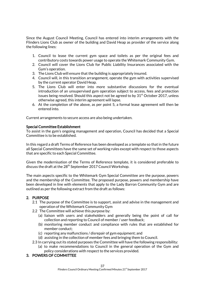Since the August Council Meeting, Council has entered into interim arrangements with the Flinders Lions Club as owner of the building and David Heap as provider of the service along the following lines:

- 1. Council to lease the current gym space and toilets as per the original fees and contributory costs towards power usage to operate the Whitemark Community Gym.
- 2. Council will cover the Lions Club for Public Liability Insurances associated with the Gym's operation.
- 3. The Lions Club will ensure that the building is appropriately insured.
- 4. Council will, in this transition arrangement, operate the gym with activities supervised by the current operator David Heap.
- 5. The Lions Club will enter into more substantive discussions for the eventual introduction of an unsupervised gym operation subject to access, fees and protection issues being resolved. Should this aspect not be agreed to by  $31<sup>st</sup>$  October 2017, unless otherwise agreed, this interim agreement will lapse.
- 6. At the completion of the above, as per point 5, a formal lease agreement will then be entered into.

Current arrangements to secure access are also being undertaken.

#### Special Committee Establishment

To assist in the gym's ongoing management and operation, Council has decided that a Special Committee is to be established.

In this regard a draft Terms of Reference has been developed as a template so that in the future all Special Committees have the same set of working rules except with respect to those aspects that are specific to each Special Committee.

Given the modernisation of the Terms of Reference template, it is considered preferable to discuss the draft at the 28<sup>th</sup> September 2017 Council Workshop.

The main aspects specific to the Whitemark Gym Special Committee are the purpose, powers and the membership of the Committee. The proposed purpose, powers and membership have been developed in line with elements that apply to the Lady Barron Community Gym and are outlined as per the following extract from the draft as follows:

# 2. PURPOSE

- 2.1 The purpose of the Committee is to support, assist and advise in the management and operation of the Whitemark Community Gym
- 2.2 The Committee will achieve this purpose by:
	- (a) liaison with users and stakeholders and generally being the point of call for collection and reporting to Council of member / user feedback;
	- (b) monitoring member conduct and compliance with rules that are established for member conduct;
	- (c) reporting any malfunctions / disrepair of gym equipment; and
	- (d) assisting in the collection of member fees and bringing them to Council.
- 2.3 In carrying out its stated purposes the Committee will have the following responsibility:
	- (a) to make recommendations to Council in the general operation of the Gym and policy considerations with respect to the services provided.

# 3. POWERS OF COMMITTEE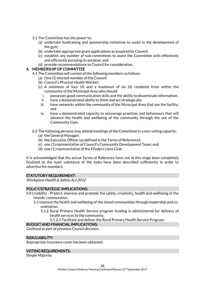- 3.1 The Committee has the power to:
	- (a) undertake fundraising and sponsorship initiatives to assist in the development of the gym;
	- (b) undertake appropriate grant applications as auspiced by Council;
	- (c) establish any number of sub-committees to assist the Committee with effectively and efficiently pursuing its purpose; and
	- (d) provide recommendations to Council for consideration.

#### 4. MEMBERSHIP OF COMMITTEE

- 4.1 The Committee will consist of the following members as follows
	- (a) One (1) elected member of the Council;
	- (b) Council's Physical Health Worker;
	- (c) A minimum of four (4) and a maximum of six (6) residents from within the community of the Municipal Area who should:
		- i. possesses good communication skills and the ability to disseminate information;
		- ii. have a demonstrated ability to think and act strategically;
		- iii. have networks within the community of the Municipal Area that use the facility; and
		- iv. have a demonstrated capacity to encourage practices and behaviours that will advance the health and wellbeing of the community through the use of the Community Gym.

#### 6.2 The following persons may attend meetings of the Committee in a non-voting capacity:

- (a) the General Manager;
- (b) the Executive Officer (as defined in the Terms of Reference);
- (c) one (1)representative of Council's Community Development Team; and
- (d) one (1) representative of the Flinders Lions Club.

It is acknowledged that the actual Terms of Reference have not at this stage been completely finalised so the main substance of the tasks have been described sufficiently in order to advertise for members.

#### STATUTORY REQUIREMENT:

Workplace Health & Safety Act 2012

#### POLICY/STRATEGIC IMPLICATIONS:

- 5.0 Livability Protect, improve and promote the safety, creativity, health and wellbeing of the Islands' communities.
	- 5.1 Improve the health and wellbeing of the Island communities through leadership and coordination.
		- 5.1.2 Rural Primary Health Service program funding is administered for delivery of health services to the community.
			- 5.1.2.1 Facilitate and deliver the Rural Primary Health Service Program.

#### BUDGET AND FINANCIAL IMPLICATIONS:

Outlined as part of previous Council decision.

#### RISK/LIABILITY:

Appropriate insurance cover has been obtained.

#### VOTING REQUIREMENTS:

Simple Majority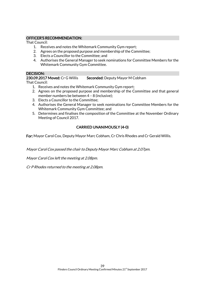# OFFICER'S RECOMMENDATION:

That Council:

- 1. Receives and notes the Whitemark Community Gym report;
- 2. Agrees on the proposed purpose and membership of the Committee;
- 3. Elects a Councillor to the Committee; and
- 4. Authorises the General Manager to seek nominations for Committee Members for the Whitemark Community Gym Committee.

#### DECISION:

230.09.2017 Moved: Cr G Willis Seconded: Deputy Mayor M Cobham

That Council:

- 1. Receives and notes the Whitemark Community Gym report;
- 2. Agrees on the proposed purpose and membership of the Committee and that general member numbers be between 4 – 8 (inclusive);
- 3. Elects a Councillor to the Committee;
- 4. Authorises the General Manager to seek nominations for Committee Members for the Whitemark Community Gym Committee; and
- 5. Determines and finalises the composition of the Committee at the November Ordinary Meeting of Council 2017.

# CARRIED UNANIMOUSLY (4-0)

For: Mayor Carol Cox, Deputy Mayor Marc Cobham, Cr Chris Rhodes and Cr Gerald Willis.

Mayor Carol Cox passed the chair to Deputy Mayor Marc Cobham at 2.07pm.

Mayor Carol Cox left the meeting at 2.08pm.

Cr P Rhodes returned to the meeting at 2.08pm.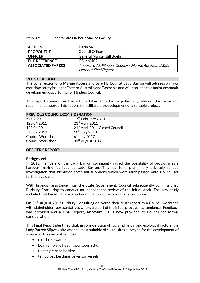#### Item B7: Flinders Safe Harbour Marine Facility

| <b>ACTION</b>            | <b>Decision</b>                                        |
|--------------------------|--------------------------------------------------------|
| <b>PROPONENT</b>         | <b>Council Officer</b>                                 |
| <b>OFFICER</b>           | General Manger Bill Boehm                              |
| <b>FILE REFERENCE</b>    | COM/0402                                               |
| <b>ASSOCIATED PAPERS</b> | Annexure 13: Flinders Council - Marine Access and Safe |
|                          | <b>Harbour Final Report</b>                            |

#### INTRODUCTION:

The construction of a Marine Access and Safe Harbour at Lady Barron will address a major maritime safety issue for Eastern Australia and Tasmania and will also lead to a major economic development opportunity for Flinders Council.

This report summarises the actions taken thus far to potentially address this issue and recommends appropriate actions to facilitate the development of a suitable project.

#### PREVIOUS COUNCIL CONSIDERATION:

| 57.02.2011              | 17 <sup>th</sup> February 2011 |
|-------------------------|--------------------------------|
| 120.04.2011             | 21st April 2011                |
| 128.04.2011             | 21st April 2011 Closed Council |
| 598.07.2013             | 18 <sup>th</sup> July 2013     |
| <b>Council Workshop</b> | $6th$ July 2017                |
| Council Workshop        | 31 <sup>st</sup> August 2017   |

#### OFFICER'S REPORT:

#### **Background**

In 2011 members of the Lady Barron community raised the possibility of providing safe harbour marine facilities at Lady Barron. This led to a preliminary privately funded investigation that identified some initial options which were later passed onto Council for further evaluation.

With financial assistance from the State Government, Council subsequently commissioned Burbury Consulting to conduct an independent review of the initial work. The new study included cost benefit analysis and examination of various other site options.

On 31<sup>st</sup> August 2017 Burbury Consulting delivered their draft report to a Council workshop with stakeholder representatives who were part of the initial process in attendance. Feedback was provided and a Final Report, Annexure 10, is now provided to Council for formal consideration.

This Final Report identified that, in consideration of social, physical and ecological factors, the Lady Barron Slipway site was the most suitable of six (6) sites surveyed for the development of a marina. The concept includes:

- rock breakwater;
- boat ramp and floating pontoon jetty;
- floating marina berths;
- temporary berthing for visitor vessels;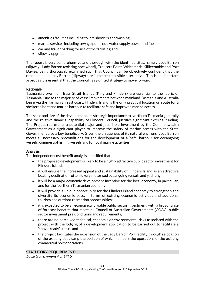- amenities facilities including toilets showers and washing;
- marine services including sewage pump out, water supply power and fuel;
- car and trailer parking for use of the facilities; and
- slipway upgrade.

The report is very comprehensive and thorough with the identified sites, namely Lady Barron (slipway), Lady Barron (existing port wharf), Trousers Point, Whitemark, Killiecrankie and Port Davies, being thoroughly examined such that Council can be objectively confident that the recommended Lady Barron (slipway) site is the best possible alternative. This is an important aspect as it is essential that the Council has a united strategy to move forward.

# Rationale

Tasmania's two main Bass Strait Islands (King and Flinders) are essential to the fabric of Tasmania. Due to the majority of vessel movements between mainland Tasmania and Australia being via the Tasmanian east coast, Flinders Island is the only practical location on route for a sheltered boat and marine harbour to facilitate safe and improved marine access.

The scale and size of the development, its strategic importance to Northern Tasmania generally and the relative financial capability of Flinders Council, justifies significant external funding. The Project represents a potential major and justifiable investment by the Commonwealth Government as a significant player to improve the safety of marine access with the State Government also a key beneficiary. Given the uniqueness of its natural environs, Lady Barron meets all necessary preconditions for the development of a 'safe' harbour for oceangoing vessels, commercial fishing vessels and for local marine activities.

# Analysis

The independent cost benefit analysis identified that:

- the proposed development is likely to be a highly attractive public sector investment for Flinders Island;
- it will ensure the increased appeal and sustainability of Flinders Island as an attractive boating destination, often luxury motorised oceangoing vessels and yachting;
- it will be a major economic development incentive for the local economy, in particular, and for the Northern Tasmanian economy;
- it will provide a unique opportunity for the Flinders Island economy to strengthen and diversify its economic base, in terms of existing economic activities and additional tourism and outdoor recreation opportunities;
- it is expected to be an economically viable public sector investment, with a broad range of forecast benefits that meets all Council of Australian Governments (COAG) public sector investment pre-conditions and requirements;
- there are no perceived technical, economic or environmental risks associated with the project with the lodging of a development application to be carried out to facilitate a 'shove-ready' status; and
- the project facilitates the expansion of the Lady Barron Port facility through relocation of the existing boat ramp the position of which hampers the operations of the existing commercial port operations.

# STATUTORY REQUIREMENT:

Local Government Act 1993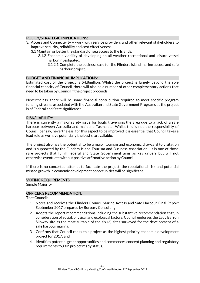# POLICY/STRATEGIC IMPLICATIONS:

- 3. Access and Connectivity work with service providers and other relevant stakeholders to improve security, reliability and cost effectiveness.
	- 3.1 Maintain or better the standard of sea access to the Islands.
		- 3.1.2 Economic viability of developing an all-weather recreational and leisure vessel harbor investigated.
			- 3.1.2.1 Complete the business case for the Flinders Island marine access and safe harbour project.

#### BUDGET AND FINANCIAL IMPLICATIONS:

Estimated cost of the project is \$4.8million. Whilst the project is largely beyond the sole financial capacity of Council, there will also be a number of other complementary actions that need to be taken by Council if the project proceeds.

Nevertheless, there will be some financial contribution required to meet specific program funding streams associated with the Australian and State Government Programs as the project is of Federal and State significance.

#### RISK/LIABILITY:

There is currently a major safety issue for boats traversing the area due to a lack of a safe harbour between Australia and mainland Tasmania. Whilst this is not the responsibility of Council per say, nevertheless, for this aspect to be improved it is essential that Council takes a lead role as we have potentially the best site available.

The project also has the potential to be a major tourism and economic drawcard to visitation and is supported by the Flinders Island Tourism and Business Association. It is one of those rare projects that fulfill Federal and State Government aims as key drivers but will not otherwise eventuate without positive affirmative action by Council.

If there is no concerted attempt to facilitate the project, the reputational risk and potential missed growth in economic development opportunities will be significant.

#### VOTING REQUIREMENTS:

Simple Majority

#### OFFICER'S RECOMMENDATION:

That Council:

- 1. Notes and receives the Flinders Council Marine Access and Safe Harbour Final Report September 2017 prepared by Burbury Consulting;
- 2. Adopts the report recommendations including the substantive recommendation that, in consideration of social, physical and ecological factors, Council endorses the Lady Barron Slipway site as the most suitable of the six (6) sites surveyed for the development of a safe harbour marina;
- 3. Confirms that Council ranks this project as the highest priority economic development project for 2017; and
- 4. Identifies potential grant opportunities and commences concept planning and regulatory requirements to gain project ready status.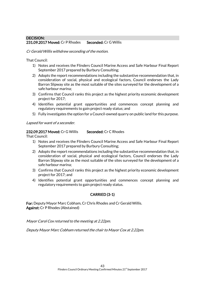# DECISION: 231.09.2017 Moved: Cr P Rhodes Seconded: Cr G Willis

#### Cr Gerald Willis withdrew seconding of the motion.

That Council:

- 1) Notes and receives the Flinders Council Marine Access and Safe Harbour Final Report September 2017 prepared by Burbury Consulting;
- 2) Adopts the report recommendations including the substantive recommendation that, in consideration of social, physical and ecological factors, Council endorses the Lady Barron Slipway site as the most suitable of the sites surveyed for the development of a safe harbour marina;
- 3) Confirms that Council ranks this project as the highest priority economic development project for 2017;
- 4) Identifies potential grant opportunities and commences concept planning and regulatory requirements to gain project ready status; and
- 5) Fully investigates the option for a Council-owned quarry on public land for this purpose.

Lapsed for want of a seconder.

# 232.09.2017 Moved: Cr G Willis Seconded: Cr C Rhodes

That Council:

- 1) Notes and receives the Flinders Council Marine Access and Safe Harbour Final Report September 2017 prepared by Burbury Consulting;
- 2) Adopts the report recommendations including the substantive recommendation that, in consideration of social, physical and ecological factors, Council endorses the Lady Barron Slipway site as the most suitable of the sites surveyed for the development of a safe harbour marina;
- 3) Confirms that Council ranks this project as the highest priority economic development project for 2017; and
- 4) Identifies potential grant opportunities and commences concept planning and regulatory requirements to gain project ready status.

# CARRIED (3-1)

For: Deputy Mayor Marc Cobham, Cr Chris Rhodes and Cr Gerald Willis. Against: Cr P Rhodes (Abstained)

Mayor Carol Cox returned to the meeting at 2.22pm.

Deputy Mayor Marc Cobham returned the chair to Mayor Cox at 2.22pm.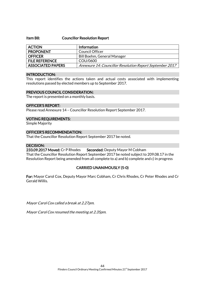#### Item B8: Councillor Resolution Report

| <b>ACTION</b>            | <b>Information</b>                                       |
|--------------------------|----------------------------------------------------------|
| <b>PROPONENT</b>         | Council Officer                                          |
| <b>OFFICER</b>           | Bill Boehm, General Manager                              |
| <b>FILE REFERENCE</b>    | COU/0600                                                 |
| <b>ASSOCIATED PAPERS</b> | Annexure 14: Councillor Resolution Report September 2017 |

#### INTRODUCTION:

This report identifies the actions taken and actual costs associated with implementing resolutions passed by elected members up to September 2017.

#### PREVIOUS COUNCIL CONSIDERATION:

The report is presented on a monthly basis.

#### OFFICER'S REPORT:

Please read Annexure 14 – Councillor Resolution Report September 2017.

#### VOTING REQUIREMENTS:

Simple Majority

# OFFICER'S RECOMMENDATION:

That the Councillor Resolution Report September 2017 be noted.

#### DECISION:

233.09.2017 Moved: Cr P Rhodes Seconded: Deputy Mayor M Cobham That the Councillor Resolution Report September 2017 be noted subject to 209.08.17 in the Resolution Report being amended from all complete to a) and b) complete and c) in progress

# CARRIED UNANIMOUSLY (5-0)

For: Mayor Carol Cox, Deputy Mayor Marc Cobham, Cr Chris Rhodes, Cr Peter Rhodes and Cr Gerald Willis.

Mayor Carol Cox called a break at 2.27pm.

Mayor Carol Cox resumed the meeting at 2.35pm.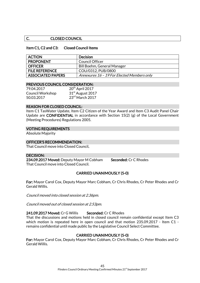#### C. CLOSED COUNCIL

### Item C1, C2 and C3: Closed Council Items

| <b>ACTION</b>            | <b>Decision</b>                            |
|--------------------------|--------------------------------------------|
| <b>PROPONENT</b>         | Council Officer                            |
| <b>OFFICER</b>           | Bill Boehm, General Manager                |
| <b>FILE REFERENCE</b>    | COU/0312, PUB/0800                         |
| <b>ASSOCIATED PAPERS</b> | Annexures 16 - 19 For Elected Members only |

#### PREVIOUS COUNCIL CONSIDERATION:

| 79.04.2017              | 20 <sup>th</sup> April 2017  |
|-------------------------|------------------------------|
| <b>Council Workshop</b> | 31 <sup>st</sup> August 2017 |
| 50.03.2017              | 23rd March 2017              |

#### REASON FOR CLOSED COUNCIL:

Item C1 TasWater Update, Item C2 Citizen of the Year Award and Item C3 Audit Panel Chair Update are CONFIDENTIAL in accordance with Section 15(2) (g) of the Local Government (Meeting Procedures) Regulations 2005.

#### VOTING REQUIREMENTS

Absolute Majority

#### OFFICER'S RECOMMENDATION:

That Council move into Closed Council.

#### DECISION:

234.09.2017 Moved: Deputy Mayor M Cobham Seconded: Cr C Rhodes That Council move into Closed Council.

# CARRIED UNANIMOUSLY (5-0)

For: Mayor Carol Cox, Deputy Mayor Marc Cobham, Cr Chris Rhodes, Cr Peter Rhodes and Cr Gerald Willis.

Council moved into closed session at 2.36pm.

Council moved out of closed session at 2.53pm.

# 241.09.2017 Moved: Cr G Willis Seconded: Cr C Rhodes

That the discussions and motions held in closed council remain confidential except Item C3 which motion is repeated here in open council and that motion 235.09.2017 - Item C1 remains confidential until made public by the Legislative Council Select Committee.

# CARRIED UNANIMOUSLY (5-0)